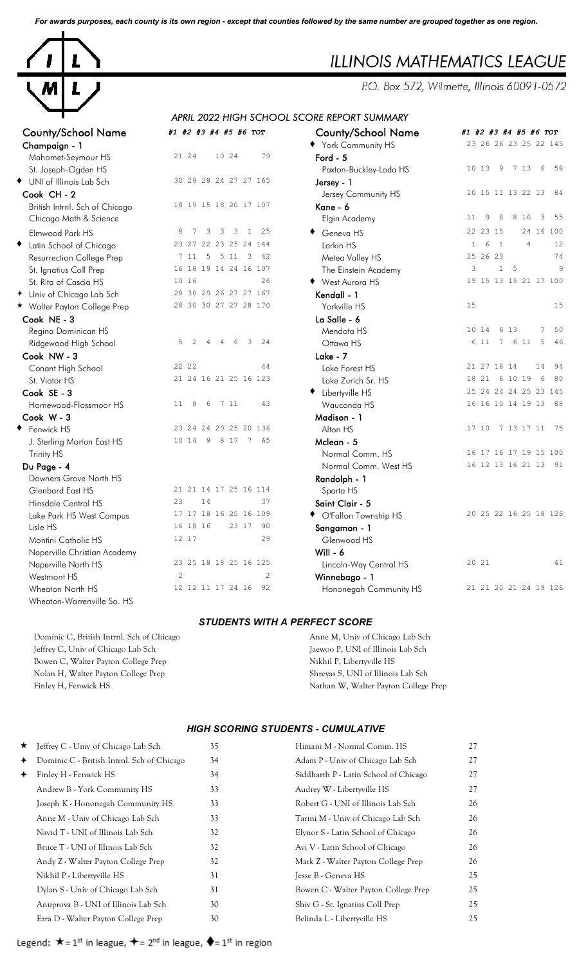*For awards purposes, each county is its own region - except that counties followed by the same number are grouped together as one region.*



# **ILLINOIS MATHEMATICS LEAGUE**

P.O. Box 572, Wilmette, Illinois 60091-0572

# *APRIL 2022 HIGH SCHOOL SCORE REPORT SUMMARY*

| County/School Name             | #1 #2 #3 #4 #5 #6 TOT                                                                      | County/School Name     | #1 #2 #3 #4 #5 #6 TOT                                       |
|--------------------------------|--------------------------------------------------------------------------------------------|------------------------|-------------------------------------------------------------|
| Champaign - 1                  |                                                                                            | ◆ York Community HS    | 23 26 26 23 25 22 145                                       |
| Mahomet-Seymour HS             | 21 24<br>10 24<br>79                                                                       | Ford - 5               |                                                             |
| St. Joseph-Ogden HS            |                                                                                            | Paxton-Buckley-Loda HS | 10 13<br>9<br>7 13<br>- 6<br>58                             |
| UNI of Illinois Lab Sch        | 30 29 28 24 27 27 165                                                                      | Jersey - 1             |                                                             |
| Cook CH - 2                    |                                                                                            | Jersey Community HS    | 10 15 11 13 22 13<br>- 84                                   |
| British Intrnl. Sch of Chicago | 18 19 15 18 20 17 107                                                                      | Kane - 6               |                                                             |
| Chicago Math & Science         |                                                                                            | Elgin Academy          | 9<br>8<br>8 16<br>$\mathbf{3}$<br>11<br>55                  |
| Elmwood Park HS                | 3<br>8<br>$7\phantom{.0}$<br>$\overline{\mathbf{3}}$<br>$\mathbf{3}$<br>$\mathbf{1}$<br>25 | ◆ Geneva HS            | 22 23 15<br>24 16 100                                       |
| • Latin School of Chicago      | 23 27 22 23 25 24 144                                                                      | Larkin HS              | 6<br>$\overline{1}$<br>$\overline{4}$<br>12<br>$\mathbf{1}$ |
| Resurrection College Prep      | 7 11 5 5 11 3 42                                                                           | Metea Valley HS        | 25 26 23<br>74                                              |
| St. Ignatius Coll Prep         | 16 18 19 14 24 16 107                                                                      | The Einstein Academy   | $1\quad 5$<br>9<br>3                                        |
| St. Rita of Cascia HS          | 10 16<br>26                                                                                | ◆ West Aurora HS       | 19 15 13 15 21 17 100                                       |
| + Univ of Chicago Lab Sch      | 28 30 29 26 27 27 167                                                                      | Kendall - 1            |                                                             |
| * Walter Payton College Prep   | 28 30 30 27 27 28 170                                                                      | Yorkville HS           | 15<br>15                                                    |
| Cook NE - 3                    |                                                                                            | La Salle - 6           |                                                             |
| Regina Dominican HS            |                                                                                            | Mendota HS             | 50<br>10 14<br>6 13<br>7                                    |
| Ridgewood High School          | 2<br>6<br>$\mathbf{3}$<br>24<br>5<br>$\overline{4}$<br>$\frac{4}{3}$                       | Ottawa HS              | 6 11<br>7 6 11<br>5<br>46                                   |
| Cook NW - 3                    |                                                                                            | Lake - 7               |                                                             |
| Conant High School             | 22 22<br>44                                                                                | Lake Forest HS         | 21 27 18 14<br>14<br>94                                     |
| St. Viator HS                  | 21 24 16 21 25 16 123                                                                      | Lake Zurich Sr. HS     | 18 21 6 10 19<br>6<br>80                                    |
| Cook SE - 3                    |                                                                                            | • Libertyville HS      | 25 24 24 24 25 23 145                                       |
| Homewood-Flossmoor HS          | 8<br>6<br>7 11<br>43<br>11                                                                 | Wauconda HS            | 16 16 10 14 19 13 88                                        |
| Cook W - 3                     |                                                                                            | Madison - 1            |                                                             |
| ◆ Fenwick HS                   | 23 24 24 20 25 20 136                                                                      | Alton HS               | 7 13 17 11 75<br>17 10                                      |
| J. Sterling Morton East HS     | 10 14 9 8 17 7 65                                                                          | Mclean - 5             |                                                             |
| Trinity HS                     |                                                                                            | Normal Comm. HS        | 16 17 16 17 19 15 100                                       |
| Du Page - 4                    |                                                                                            | Normal Comm. West HS   | 16 12 13 16 21 13 91                                        |
| Downers Grove North HS         |                                                                                            | Randolph - 1           |                                                             |
| <b>Glenbard East HS</b>        | 21 21 14 17 25 16 114                                                                      | Sparta HS              |                                                             |
| Hinsdale Central HS            | 23<br>14<br>37                                                                             | Saint Clair - 5        |                                                             |
| Lake Park HS West Campus       | 17 17 18 16 25 16 109                                                                      | ◆ O'Fallon Township HS | 20 25 22 16 25 18 126                                       |
| Lisle HS                       | 23 17<br>90<br>16 18 16                                                                    | Sangamon - 1           |                                                             |
| Montini Catholic HS            | 12 17<br>29                                                                                | Glenwood HS            |                                                             |
| Naperville Christian Academy   |                                                                                            | Will - $6$             |                                                             |
| Naperville North HS            | 23 25 18 18 25 16 125                                                                      | Lincoln-Way Central HS | 20 21<br>41                                                 |
| Westmont HS                    | 2<br>2                                                                                     | Winnebago - 1          |                                                             |
| Wheaton North HS               | 12 12 11 17 24 16<br>92                                                                    | Hononegah Community HS | 21 21 20 21 24 19 126                                       |
| Wheaton-Warrenville So. HS     |                                                                                            |                        |                                                             |

| County/School Name             | #1 #2 #3 #4 #5 #6 TOT                                               | <b>County/School Name</b> | #1 #2 #3 #4 #5 #6 TOT                                       |
|--------------------------------|---------------------------------------------------------------------|---------------------------|-------------------------------------------------------------|
| Champaign - 1                  |                                                                     | ◆ York Community HS       | 23 26 26 23 25 22 145                                       |
| Mahomet-Seymour HS             | 21 24<br>79<br>10 24                                                | Ford - $5$                |                                                             |
| St. Joseph-Ogden HS            |                                                                     | Paxton-Buckley-Loda HS    | 10 13<br>9<br>7 13<br>6<br>58                               |
| UNI of Illinois Lab Sch        | 30 29 28 24 27 27 165                                               | Jersey - 1                |                                                             |
| Cook CH-2                      |                                                                     | Jersey Community HS       | 10 15 11 13 22 13<br>- 84                                   |
| British Intrnl. Sch of Chicago | 18 19 15 18 20 17 107                                               | Kane - 6                  |                                                             |
| Chicago Math & Science         |                                                                     | Elgin Academy             | 11<br>9<br>8<br>8 16<br>3<br>55                             |
| Elmwood Park HS                | $\overline{\mathbf{3}}$<br>25<br>8<br>7<br>3<br>3<br>1              | Geneva HS                 | 22 23 15<br>24 16 100                                       |
| Latin School of Chicago        | 23 27 22 23 25 24 144                                               | Larkin HS                 | $\mathbf{1}$<br>6<br>$\overline{1}$<br>$\overline{4}$<br>12 |
| Resurrection College Prep      | 5 11<br>$\overline{\mathbf{3}}$<br>42<br>7 11<br>5                  | Metea Valley HS           | 74<br>25 26 23                                              |
| St. Ignatius Coll Prep         | 16 18 19 14 24 16 107                                               | The Einstein Academy      | 3<br>$\mathbf{1}$<br>-5<br>9                                |
| St. Rita of Cascia HS          | 26<br>10 16                                                         | ♦ West Aurora HS          | 19 15 13 15 21 17 100                                       |
| Univ of Chicago Lab Sch        | 28 30 29 26 27 27 167                                               | Kendall - 1               |                                                             |
| Walter Payton College Prep     | 28 30 30 27 27 28 170                                               | Yorkville HS              | 15<br>15                                                    |
| Cook NE - 3                    |                                                                     | La Salle - 6              |                                                             |
| Regina Dominican HS            |                                                                     | Mendota HS                | 10 14<br>6 13<br>7<br>50                                    |
| Ridgewood High School          | 5<br>2<br>6<br>$\overline{\mathbf{3}}$<br>24<br>4<br>$\overline{4}$ | Ottawa HS                 | 6 11<br>7 6 11<br>46<br>5                                   |
| Cook NW - 3                    |                                                                     | Lake - $7$                |                                                             |
| Conant High School             | 22 22<br>44                                                         | Lake Forest HS            | 21 27 18 14<br>14<br>94                                     |
| St. Viator HS                  | 21 24 16 21 25 16 123                                               | Lake Zurich Sr. HS        | 18 21 6 10 19<br>6<br>80                                    |
| Cook SE - 3                    |                                                                     | • Libertyville HS         | 25 24 24 24 25 23 145                                       |
| Homewood-Flossmoor HS          | 11<br>8<br>6<br>7 11<br>43                                          | Wauconda HS               | 16 16 10 14 19 13 88                                        |
| Cook W-3                       |                                                                     | Madison - 1               |                                                             |
| Fenwick HS                     | 23 24 24 20 25 20 136                                               | Alton HS                  | 7 13 17 11<br>75<br>17 10                                   |
| J. Sterling Morton East HS     | 10 14<br>9 8 17 7<br>65                                             | Mclean - 5                |                                                             |
| Trinity HS                     |                                                                     | Normal Comm. HS           | 16 17 16 17 19 15 100                                       |
| Du Page - 4                    |                                                                     | Normal Comm. West HS      | 16 12 13 16 21 13 91                                        |
| Downers Grove North HS         |                                                                     | Randolph - 1              |                                                             |
| Glenbard East HS               | 21 21 14 17 25 16 114                                               | Sparta HS                 |                                                             |
| Hinsdale Central HS            | 23<br>14<br>37                                                      | Saint Clair - 5           |                                                             |
| Lake Park HS West Campus       | 17 17 18 16 25 16 109                                               | ◆ O'Fallon Township HS    | 20 25 22 16 25 18 126                                       |
| Lisle HS                       | 16 18 16<br>23 17<br>90                                             | Sangamon - 1              |                                                             |
| Montini Catholic HS            | 12 17<br>29                                                         | Glenwood HS               |                                                             |
| Naperville Christian Academy   |                                                                     | Will - $6$                |                                                             |
| Naperville North HS            | 23 25 18 18 25 16 125                                               | Lincoln-Way Central HS    | 41<br>20 21                                                 |
| Westmont HS                    | $\overline{c}$<br>$\overline{c}$                                    | Winnebago - 1             |                                                             |
| Wheaton North HS               | 12 12 11 17 24 16<br>92                                             | Hononegah Community HS    | 21 21 20 21 24 19 126                                       |

## *STUDENTS WITH A PERFECT SCORE*

Dominic C, British Intrnl. Sch of Chicago Anne M, Univ of Chicago Lab Sch of Chicago Lab Sch anne M, Univ of Chicago Lab Sch Jeffrey C, Univ of Chicago Lab Sch Jaewoo P, UNI of Illinois Lab Sch Bowen C, Walter Payton College Prep Nikhil P, Libertyville HS Nolan H, Walter Payton College Prep Shreyas S, UNI of Illinois Lab Sch

Finley H, Fenwick HS Nathan W, Walter Payton College Prep

#### *HIGH SCORING STUDENTS - CUMULATIVE*

| $\star$ | Jeffrey C - Univ of Chicago Lab Sch        | 35 | Himani M - Normal Comm. HS            | 27 |
|---------|--------------------------------------------|----|---------------------------------------|----|
| ✦       | Dominic C - British Intrnl. Sch of Chicago | 34 | Adam P - Univ of Chicago Lab Sch      | 27 |
| ✦       | Finley H - Fenwick HS                      | 34 | Siddharth P - Latin School of Chicago | 27 |
|         | Andrew B - York Community HS               | 33 | Audrey W - Libertyville HS            | 27 |
|         | Joseph K - Hononegah Community HS          | 33 | Robert G - UNI of Illinois Lab Sch    | 26 |
|         | Anne M - Univ of Chicago Lab Sch           | 33 | Tarini M - Univ of Chicago Lab Sch    | 26 |
|         | Navid T - UNI of Illinois Lab Sch          | 32 | Elynor S - Latin School of Chicago    | 26 |
|         | Bruce T - UNI of Illinois Lab Sch          | 32 | Avi V - Latin School of Chicago       | 26 |
|         | Andy Z - Walter Payton College Prep        | 32 | Mark Z - Walter Payton College Prep   | 26 |
|         | Nikhil P - Libertyville HS                 | 31 | Jesse B - Geneva HS                   | 25 |
|         | Dylan S - Univ of Chicago Lab Sch          | 31 | Bowen C - Walter Payton College Prep  | 25 |
|         | Anuprova B - UNI of Illinois Lab Sch       | 30 | Shiv G - St. Ignatius Coll Prep       | 25 |
|         | Ezra D - Walter Payton College Prep        | 30 | Belinda L - Libertyville HS           | 25 |

## Legend:  $\star$  = 1<sup>st</sup> in league,  $\star$  = 2<sup>nd</sup> in league,  $\star$  = 1<sup>st</sup> in region